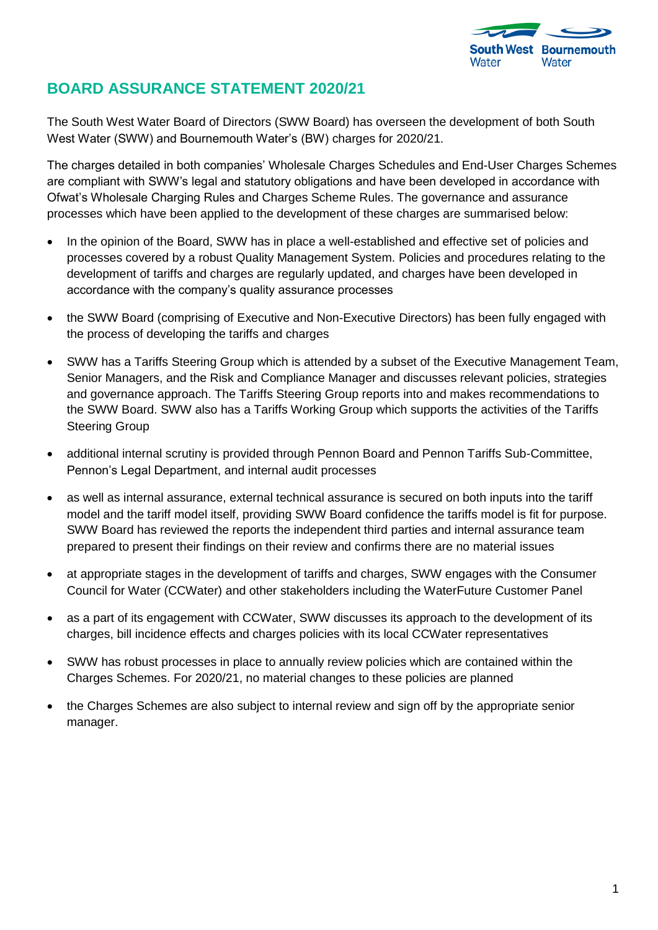

## **BOARD ASSURANCE STATEMENT 2020/21**

The South West Water Board of Directors (SWW Board) has overseen the development of both South West Water (SWW) and Bournemouth Water's (BW) charges for 2020/21.

The charges detailed in both companies' Wholesale Charges Schedules and End-User Charges Schemes are compliant with SWW's legal and statutory obligations and have been developed in accordance with Ofwat's Wholesale Charging Rules and Charges Scheme Rules. The governance and assurance processes which have been applied to the development of these charges are summarised below:

- In the opinion of the Board, SWW has in place a well-established and effective set of policies and processes covered by a robust Quality Management System. Policies and procedures relating to the development of tariffs and charges are regularly updated, and charges have been developed in accordance with the company's quality assurance processes
- the SWW Board (comprising of Executive and Non-Executive Directors) has been fully engaged with the process of developing the tariffs and charges
- SWW has a Tariffs Steering Group which is attended by a subset of the Executive Management Team, Senior Managers, and the Risk and Compliance Manager and discusses relevant policies, strategies and governance approach. The Tariffs Steering Group reports into and makes recommendations to the SWW Board. SWW also has a Tariffs Working Group which supports the activities of the Tariffs Steering Group
- additional internal scrutiny is provided through Pennon Board and Pennon Tariffs Sub-Committee, Pennon's Legal Department, and internal audit processes
- as well as internal assurance, external technical assurance is secured on both inputs into the tariff model and the tariff model itself, providing SWW Board confidence the tariffs model is fit for purpose. SWW Board has reviewed the reports the independent third parties and internal assurance team prepared to present their findings on their review and confirms there are no material issues
- at appropriate stages in the development of tariffs and charges, SWW engages with the Consumer Council for Water (CCWater) and other stakeholders including the WaterFuture Customer Panel
- as a part of its engagement with CCWater, SWW discusses its approach to the development of its charges, bill incidence effects and charges policies with its local CCWater representatives
- SWW has robust processes in place to annually review policies which are contained within the Charges Schemes. For 2020/21, no material changes to these policies are planned
- the Charges Schemes are also subject to internal review and sign off by the appropriate senior manager.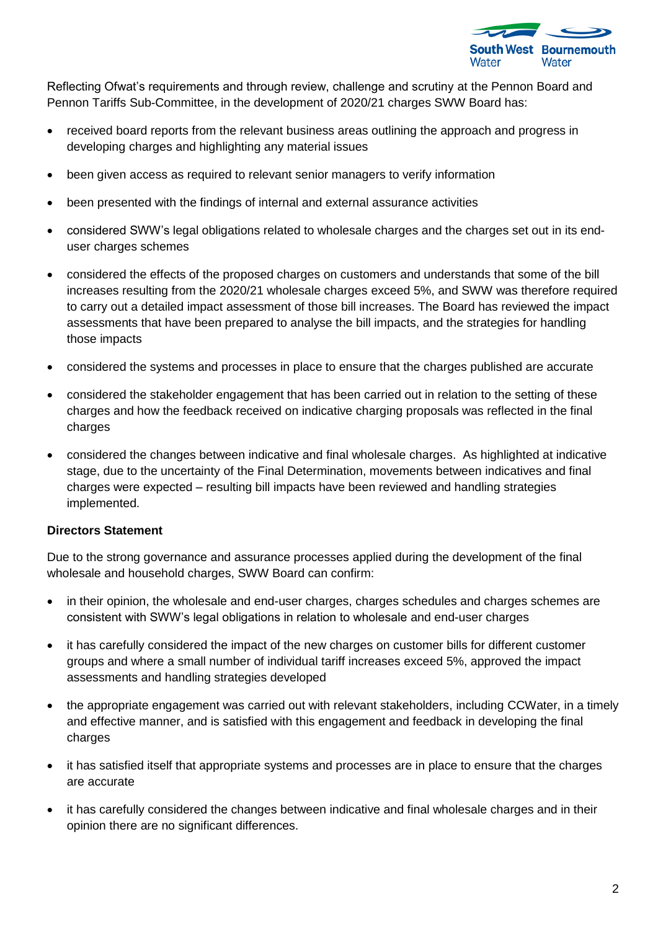

Reflecting Ofwat's requirements and through review, challenge and scrutiny at the Pennon Board and Pennon Tariffs Sub-Committee, in the development of 2020/21 charges SWW Board has:

- received board reports from the relevant business areas outlining the approach and progress in developing charges and highlighting any material issues
- been given access as required to relevant senior managers to verify information
- been presented with the findings of internal and external assurance activities
- considered SWW's legal obligations related to wholesale charges and the charges set out in its enduser charges schemes
- considered the effects of the proposed charges on customers and understands that some of the bill increases resulting from the 2020/21 wholesale charges exceed 5%, and SWW was therefore required to carry out a detailed impact assessment of those bill increases. The Board has reviewed the impact assessments that have been prepared to analyse the bill impacts, and the strategies for handling those impacts
- considered the systems and processes in place to ensure that the charges published are accurate
- considered the stakeholder engagement that has been carried out in relation to the setting of these charges and how the feedback received on indicative charging proposals was reflected in the final charges
- considered the changes between indicative and final wholesale charges. As highlighted at indicative stage, due to the uncertainty of the Final Determination, movements between indicatives and final charges were expected – resulting bill impacts have been reviewed and handling strategies implemented.

## **Directors Statement**

Due to the strong governance and assurance processes applied during the development of the final wholesale and household charges, SWW Board can confirm:

- in their opinion, the wholesale and end-user charges, charges schedules and charges schemes are consistent with SWW's legal obligations in relation to wholesale and end-user charges
- it has carefully considered the impact of the new charges on customer bills for different customer groups and where a small number of individual tariff increases exceed 5%, approved the impact assessments and handling strategies developed
- the appropriate engagement was carried out with relevant stakeholders, including CCWater, in a timely and effective manner, and is satisfied with this engagement and feedback in developing the final charges
- it has satisfied itself that appropriate systems and processes are in place to ensure that the charges are accurate
- it has carefully considered the changes between indicative and final wholesale charges and in their opinion there are no significant differences.